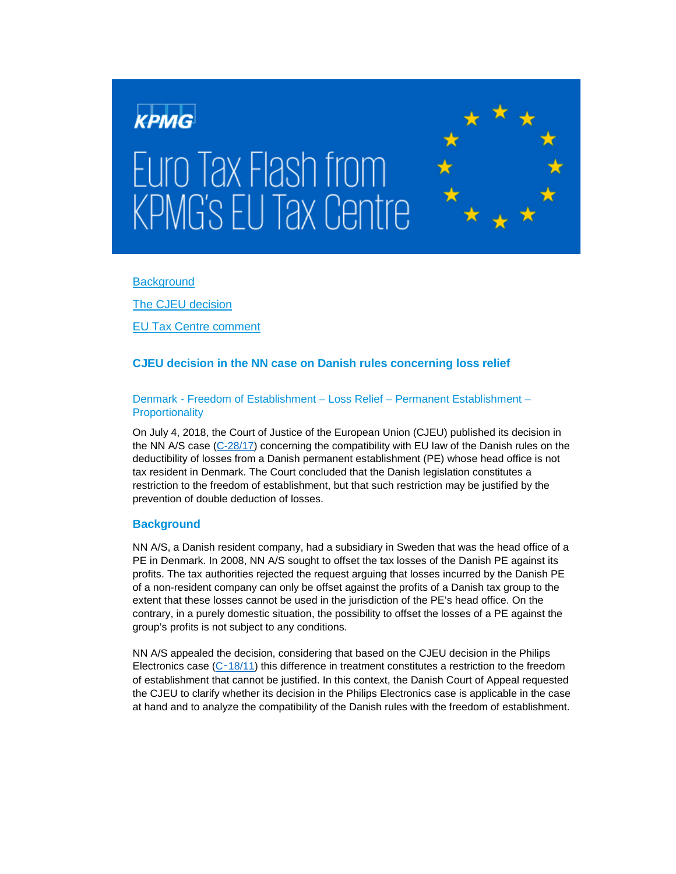

**[Background](#page-0-0)** 

[The CJEU](#page-1-0) decision

[EU Tax Centre comment](#page-1-1)

# **CJEU decision in the NN case on Danish rules concerning loss relief**

## Denmark - Freedom of Establishment – Loss Relief – Permanent Establishment – **Proportionality**

On July 4, 2018, the Court of Justice of the European Union (CJEU) published its decision in the NN A/S case [\(C-28/17\)](http://curia.europa.eu/juris/documents.jsf;jsessionid=9ea7d0f130de8dbacc026d5848be92d6a90b7713e80f.e34KaxiLc3eQc40LaxqMbN4Pb30Le0?pro=&lgrec=en&nat=or&oqp=&lg=&dates=&language=en&jur=C%2CT%2CF&cit=none%252CC%252CCJ%252CR%252C2008E%252C%252C%252C%252C%252C%252C%252C%252C%252C%252Ctrue%252Cfalse%252Cfalse&num=c-28%252F17&td=%3BALL&pcs=Oor&avg=&page=1&mat=or&jge=&for=&cid=544447) concerning the compatibility with EU law of the Danish rules on the deductibility of losses from a Danish permanent establishment (PE) whose head office is not tax resident in Denmark. The Court concluded that the Danish legislation constitutes a restriction to the freedom of establishment, but that such restriction may be justified by the prevention of double deduction of losses.

## <span id="page-0-0"></span>**Background**

NN A/S, a Danish resident company, had a subsidiary in Sweden that was the head office of a PE in Denmark. In 2008, NN A/S sought to offset the tax losses of the Danish PE against its profits. The tax authorities rejected the request arguing that losses incurred by the Danish PE of a non-resident company can only be offset against the profits of a Danish tax group to the extent that these losses cannot be used in the jurisdiction of the PE's head office. On the contrary, in a purely domestic situation, the possibility to offset the losses of a PE against the group's profits is not subject to any conditions.

NN A/S appealed the decision, considering that based on the CJEU decision in the Philips Electronics case  $(C-18/11)$  $(C-18/11)$  this difference in treatment constitutes a restriction to the freedom of establishment that cannot be justified. In this context, the Danish Court of Appeal requested the CJEU to clarify whether its decision in the Philips Electronics case is applicable in the case at hand and to analyze the compatibility of the Danish rules with the freedom of establishment.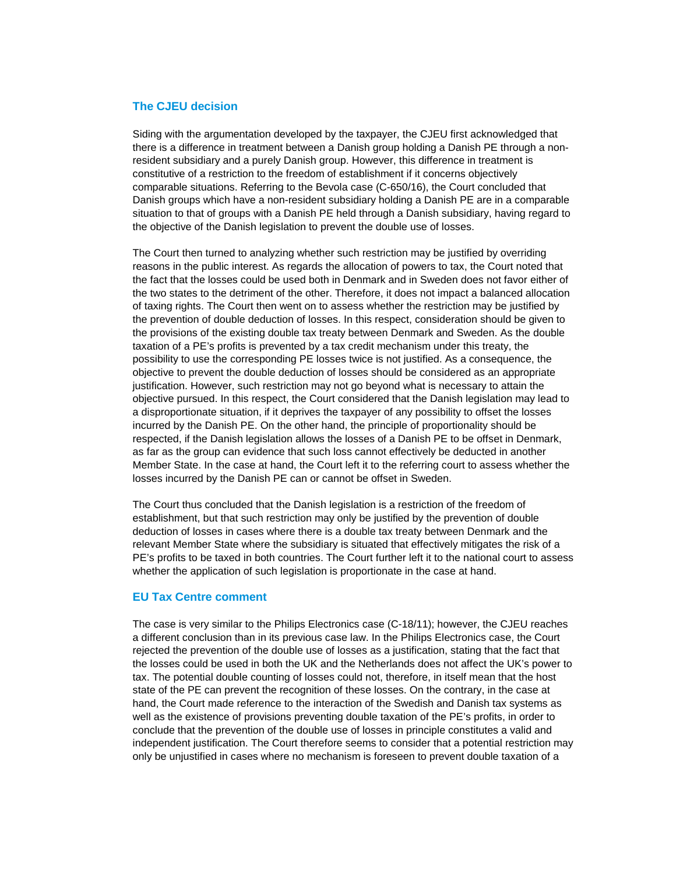### <span id="page-1-0"></span>**The CJEU decision**

Siding with the argumentation developed by the taxpayer, the CJEU first acknowledged that there is a difference in treatment between a Danish group holding a Danish PE through a nonresident subsidiary and a purely Danish group. However, this difference in treatment is constitutive of a restriction to the freedom of establishment if it concerns objectively comparable situations. Referring to the Bevola case (C-650/16), the Court concluded that Danish groups which have a non-resident subsidiary holding a Danish PE are in a comparable situation to that of groups with a Danish PE held through a Danish subsidiary, having regard to the objective of the Danish legislation to prevent the double use of losses.

The Court then turned to analyzing whether such restriction may be justified by overriding reasons in the public interest. As regards the allocation of powers to tax, the Court noted that the fact that the losses could be used both in Denmark and in Sweden does not favor either of the two states to the detriment of the other. Therefore, it does not impact a balanced allocation of taxing rights. The Court then went on to assess whether the restriction may be justified by the prevention of double deduction of losses. In this respect, consideration should be given to the provisions of the existing double tax treaty between Denmark and Sweden. As the double taxation of a PE's profits is prevented by a tax credit mechanism under this treaty, the possibility to use the corresponding PE losses twice is not justified. As a consequence, the objective to prevent the double deduction of losses should be considered as an appropriate justification. However, such restriction may not go beyond what is necessary to attain the objective pursued. In this respect, the Court considered that the Danish legislation may lead to a disproportionate situation, if it deprives the taxpayer of any possibility to offset the losses incurred by the Danish PE. On the other hand, the principle of proportionality should be respected, if the Danish legislation allows the losses of a Danish PE to be offset in Denmark, as far as the group can evidence that such loss cannot effectively be deducted in another Member State. In the case at hand, the Court left it to the referring court to assess whether the losses incurred by the Danish PE can or cannot be offset in Sweden.

The Court thus concluded that the Danish legislation is a restriction of the freedom of establishment, but that such restriction may only be justified by the prevention of double deduction of losses in cases where there is a double tax treaty between Denmark and the relevant Member State where the subsidiary is situated that effectively mitigates the risk of a PE's profits to be taxed in both countries. The Court further left it to the national court to assess whether the application of such legislation is proportionate in the case at hand.

#### <span id="page-1-1"></span>**EU Tax Centre comment**

The case is very similar to the Philips Electronics case (C-18/11); however, the CJEU reaches a different conclusion than in its previous case law. In the Philips Electronics case, the Court rejected the prevention of the double use of losses as a justification, stating that the fact that the losses could be used in both the UK and the Netherlands does not affect the UK's power to tax. The potential double counting of losses could not, therefore, in itself mean that the host state of the PE can prevent the recognition of these losses. On the contrary, in the case at hand, the Court made reference to the interaction of the Swedish and Danish tax systems as well as the existence of provisions preventing double taxation of the PE's profits, in order to conclude that the prevention of the double use of losses in principle constitutes a valid and independent justification. The Court therefore seems to consider that a potential restriction may only be unjustified in cases where no mechanism is foreseen to prevent double taxation of a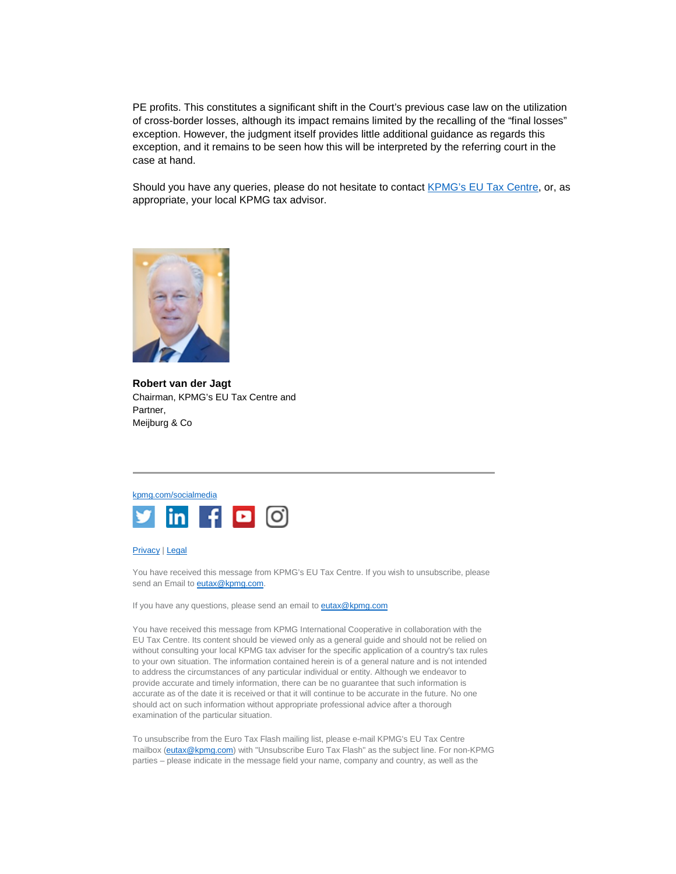PE profits. This constitutes a significant shift in the Court's previous case law on the utilization of cross-border losses, although its impact remains limited by the recalling of the "final losses" exception. However, the judgment itself provides little additional guidance as regards this exception, and it remains to be seen how this will be interpreted by the referring court in the case at hand.

Should you have any queries, please do not hesitate to contact [KPMG's EU Tax Centre,](mailto:kpmgeutaxcentre@kpmg.com) or, as appropriate, your local KPMG tax advisor.



**Robert van der Jagt** Chairman, KPMG's EU Tax Centre and Partner, Meijburg & Co



#### [Privacy](https://home.kpmg.com/xx/en/home/misc/privacy.html) | [Legal](https://home.kpmg.com/xx/en/home/misc/legal.html)

You have received this message from KPMG's EU Tax Centre. If you wish to unsubscribe, please send an Email to **eutax@kpmg.com**.

If you have any questions, please send an email to **eutax@kpmg.com** 

You have received this message from KPMG International Cooperative in collaboration with the EU Tax Centre. Its content should be viewed only as a general guide and should not be relied on without consulting your local KPMG tax adviser for the specific application of a country's tax rules to your own situation. The information contained herein is of a general nature and is not intended to address the circumstances of any particular individual or entity. Although we endeavor to provide accurate and timely information, there can be no guarantee that such information is accurate as of the date it is received or that it will continue to be accurate in the future. No one should act on such information without appropriate professional advice after a thorough examination of the particular situation.

To unsubscribe from the Euro Tax Flash mailing list, please e-mail KPMG's EU Tax Centre mailbox [\(eutax@kpmg.com\)](mailto:eutax@kpmg.com) with "Unsubscribe Euro Tax Flash" as the subject line. For non-KPMG parties – please indicate in the message field your name, company and country, as well as the